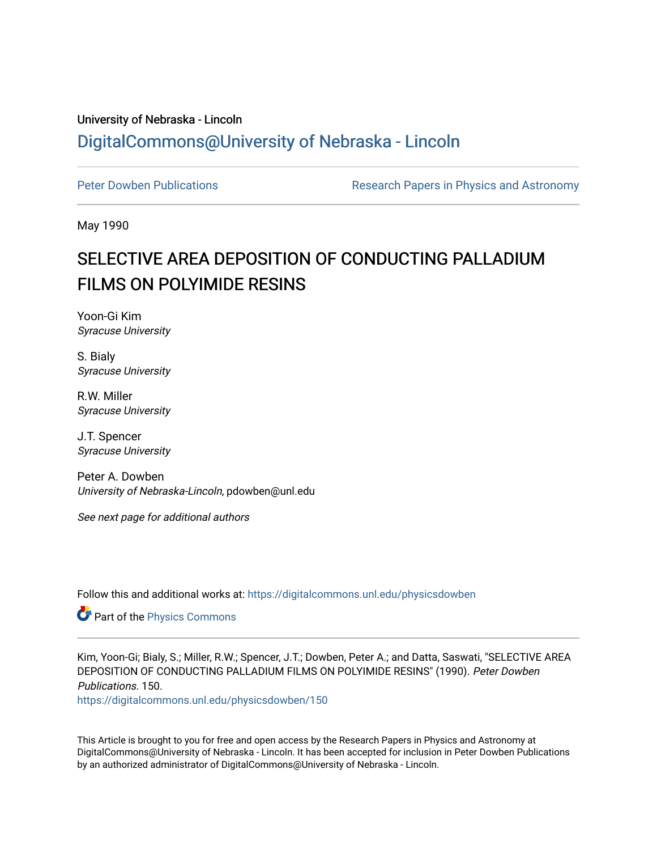## University of Nebraska - Lincoln [DigitalCommons@University of Nebraska - Lincoln](https://digitalcommons.unl.edu/)

[Peter Dowben Publications](https://digitalcommons.unl.edu/physicsdowben) **Research Papers in Physics and Astronomy** 

May 1990

# SELECTIVE AREA DEPOSITION OF CONDUCTING PALLADIUM FILMS ON POLYIMIDE RESINS

Yoon-Gi Kim Syracuse University

S. Bialy Syracuse University

R.W. Miller Syracuse University

J.T. Spencer Syracuse University

Peter A. Dowben University of Nebraska-Lincoln, pdowben@unl.edu

See next page for additional authors

Follow this and additional works at: [https://digitalcommons.unl.edu/physicsdowben](https://digitalcommons.unl.edu/physicsdowben?utm_source=digitalcommons.unl.edu%2Fphysicsdowben%2F150&utm_medium=PDF&utm_campaign=PDFCoverPages) 

**Part of the [Physics Commons](http://network.bepress.com/hgg/discipline/193?utm_source=digitalcommons.unl.edu%2Fphysicsdowben%2F150&utm_medium=PDF&utm_campaign=PDFCoverPages)** 

Kim, Yoon-Gi; Bialy, S.; Miller, R.W.; Spencer, J.T.; Dowben, Peter A.; and Datta, Saswati, "SELECTIVE AREA DEPOSITION OF CONDUCTING PALLADIUM FILMS ON POLYIMIDE RESINS" (1990). Peter Dowben Publications. 150.

[https://digitalcommons.unl.edu/physicsdowben/150](https://digitalcommons.unl.edu/physicsdowben/150?utm_source=digitalcommons.unl.edu%2Fphysicsdowben%2F150&utm_medium=PDF&utm_campaign=PDFCoverPages) 

This Article is brought to you for free and open access by the Research Papers in Physics and Astronomy at DigitalCommons@University of Nebraska - Lincoln. It has been accepted for inclusion in Peter Dowben Publications by an authorized administrator of DigitalCommons@University of Nebraska - Lincoln.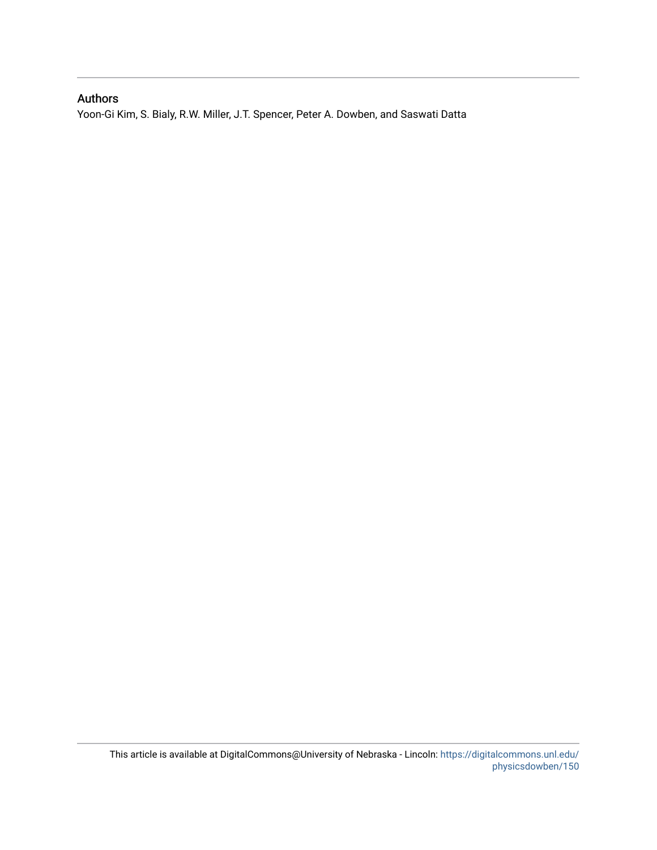### Authors

Yoon-Gi Kim, S. Bialy, R.W. Miller, J.T. Spencer, Peter A. Dowben, and Saswati Datta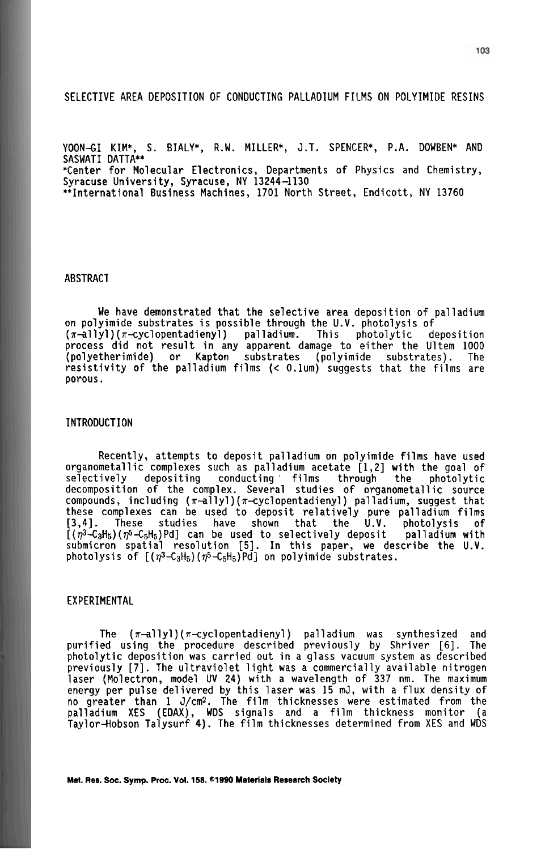#### SELECTIVE AREA DEPOSITION OF CONDUCTING PALLADIUM FILMS ON POLYIMIDE RESINS

YOON-GI KIM\*, S. BIALY\*, R.W. MILLER\*, J.T. SPENCER\*, P.A. DOWBEN\* AND<br>SASWATI DATTA\*\*<br>\*Contau for Malacular Flastranies, Peasutrants of Physics and Chamistry \*Center for Molecular Electronics, Departments of Physics and Chemistry, Syracuse University, Syracuse, NY 13244-1130 \*\*International Business Machines, 1701 North Street, Endicott, NY 13760

#### ABSTRACT

We have demonstrated that the selective area deposition of palladium on polyimide substrates is possible through the U.V. photolysis of (n-allyl) (n-cyclopentadienyl ) palladium. This photolytic deposition process did not result in any apparent damage to either the Ultem 1000 (polyetherimide) or Kapton substrates (polyimide substrates). The resistivity of the palladium films (< O.lum) suggests that the films are porous.

#### INTRODUCTION

Recently, attempts to deposit palladium on polyimide films have used organometallic complexes such as palladium acetate [1,2] with the goal of<br>selectively depositing conducting films through the photolytic conducting films decomposition of the complex. Several studies of organometallic source compounds, including (n-allyl) (x-cyclopentadienyl) palladium, suggest that these complexes can be used to deposit relatively pure palladium films [3,4]. These studies have shown that the U.V. photolysis of  $[(\eta^3-\text{C}_3H_5)(\eta^5-\text{C}_5H_5)Pd]$  can be used to selectively deposit palladium with submicron spatial resolution **[5].** In this paper, we describe the U.V. photolysis of  $[(\eta^3 - C_3H_5) (\eta^5 - C_5H_5)$  Pd on polyimide substrates.

#### EXPERIMENTAL

The  $(\pi\text{-allyl})(\pi\text{-cyclopentadienyl})$  palladium was synthesized and purified using the procedure described previously by Shriver [6]. The photolytic deposition was carried out in a glass vacuum system as described previously [7]. The ultraviolet light was a commercially available nitrogen laser (Molectron, model UV 24) with a wavelength of 337 nm. The maximum energy per pulse delivered by this laser was 15 mJ, with a flux density of no greater than  $1 \text{ J/cm}^2$ . The film thicknesses were estimated from the palladium XES (EDAX), WDS signals and a film thickness monitor (a Taylor—Hobson Talysurf 4). The film thicknesses determined from XES and WDS

**Mat. Res. Soc. Symp. Proc. Vol. 158. ©1990 Materials Research Society**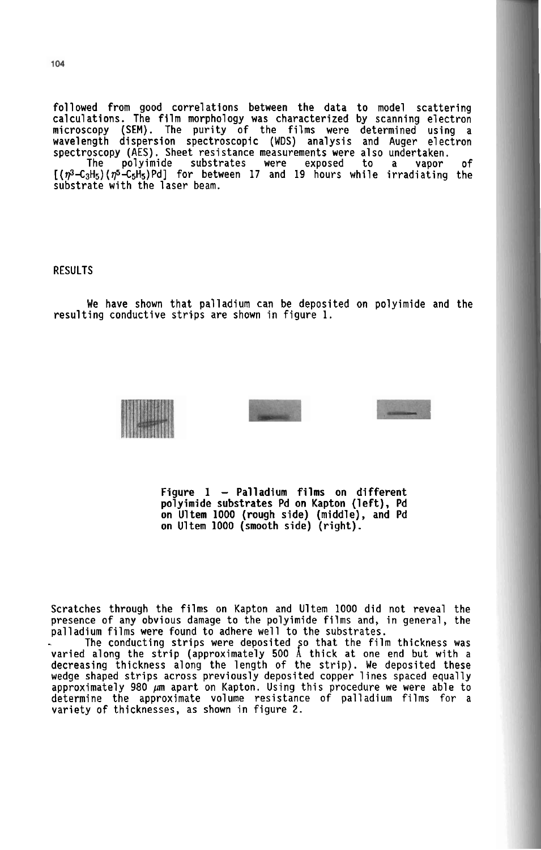followed from good correlations between the data to model scattering calculations. The film morphology was characterized by scanning electron microscopy (SEM). The purity of the films were determined using a wavelength dispersion spectroscopic (WDS) analysis and Auger electron spectroscopy (AES). Sheet resistance measurements were also undertaken. The polyimide substrates were exposed to a vapor of  $[(n^3-C_3H_5)(n^5-C_5H_5)Pd]$  for between 17 and 19 hours while irradiating the substrate with the laser beam.

#### **RESULTS**

We have shown that palladium can be deposited on polyimide and the resulting conductive strips are shown in figure 1.





Figure  $1 -$  Palladium films on different polyimide substrates Pd on Kapton (left), Pd on Ultem 1000 (rough side) (middle), and Pd on Ultem 1000 (smooth side) (right).

Scratches through the films on Kapton and Ultem 1000 did not reveal the presence of any obvious damage to the polyimide films and, in general, the palladium films were found to adhere well to the substrates.

palladium films were found to adhere well to the substrates.<br>- - The conducting strips were deposited so that the film thickness was varied along the strip (approximately 500 Å thick at one end but with a decreasing thickness along the length of the strip). We deposited these wedge shaped strips across previously deposited copper lines spaced equally approximately 980 **pn** apart on Kapton. Using this procedure we were able to determine the approximate volume resistance of palladium films for a variety of thicknesses, as shown in figure 2.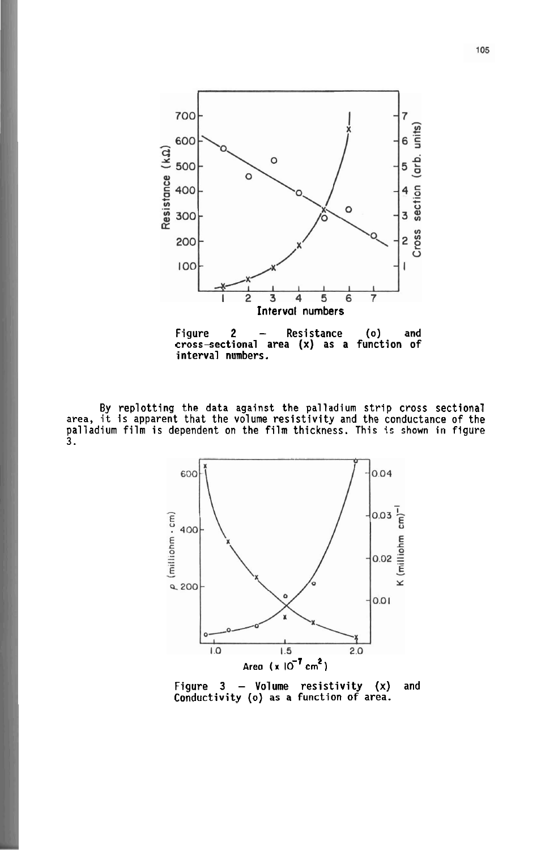

Figure 2 - Resistance (0) and crosssectional area (x) as a function of interval numbers.

By replotting the data against the palladium strip cross sectional area, it is apparent that the volume resistivity and the conductance of the palladium film is dependent on the film thickness. This is shown in figure 3.



Figure  $3$  - Volume resistivity  $(x)$  and Conductivity (0) as a function of area.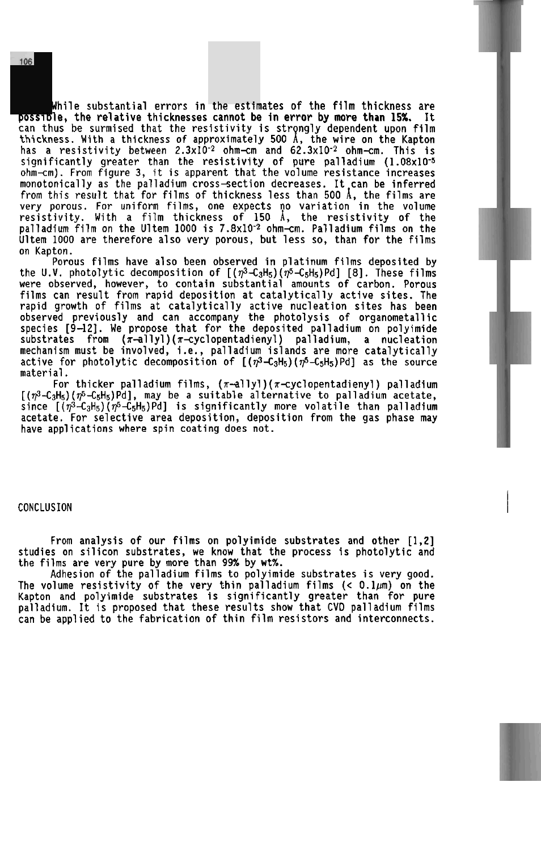While substantial errors in the estimates of the film thickness are<br>possible, the relative thicknesses cannot be in error by more than 15%. It can thus be surmised that the resistivity is strongly dependent upon film thickness. With a thickness of approximately 500 1, the wire on the Kapton has a resistivity between 2.3~10-2 ohm-cm and 62.3~10-2 ohm-cm. This is significantly greater than the resistivity of pure palladium  $(1.08x10^{-5})$ ohm-cm). From figure 3, it is apparent that the volume resistance increases monotonically as the palladium cross-section decreases. It can be inferred from this result that for films of thickness less than 500 **A,** the films are very porous. For uniform films, one expects no variation in the volume resistivity. With a film thickness of 150 A, the resistivity of the palladium film on the Ultem 1000 is 7.8x10<sup>-2</sup> ohm-cm. Palladium films on the Ultem 1000 are therefore also very porous, but less so, than for the films on Kapton.

Porous films have also been observed in platinum films deposited by the U.V. photolytic decomposition of  $[(\eta^3-\zeta_3H_5)(\eta^5-\zeta_5H_5)Pd]$  [8]. These films were observed, however, to contain substantial amounts of carbon. Porous films can result from rapid deposition at catalytically active sites. The rapid growth of films at catalytically active nucleation sites has been observed previously and can accompany the photolysis of organometallic species [9-121. We propose that for the deposited palladium on polyimide substrates from  $(\pi$ -allyl) $(\pi$ -cyclopentadienyl) palladium, a nucleation mechanism must be involved, i.e., palladium islands are more catalytically active for photolytic decomposition of  $[(\eta^3-\zeta_3H_5)(\eta^5-\zeta_5H_5)Pd]$  as the source material.

For thicker palladium films, ( $\pi$ —allyl)( $\pi$ —cyclopentadienyl) palladium [( $\eta^3$ -C3H5)( $\eta^5$ -C5H5)Pd], may be a suitable alternative to palladium acetate, since  $[(\eta^3 - C_3H_5)(\eta^5 - C_5H_5)$  Pd] is significantly more volatile than palladium acetate. For selective area deposition, deposition from the gas phase may have applications where spin coating does not.

#### CONCLUSION 1

From analysis of our films on polyimide substrates and other [1,2] studies on silicon substrates, we know that the process is photolytic and the films are very pure by more than 99% by wt%.

Adhesion of the palladium films to polyimide substrates is very good. The volume resistivity of the very thin palladium films **(C** 0.1~) on the Kapton and polyimide substrates is significantly greater than for pure palladium. It is proposed that these results show that CVD palladium films can be applied to the fabrication of thin film resistors and interconnects.

106